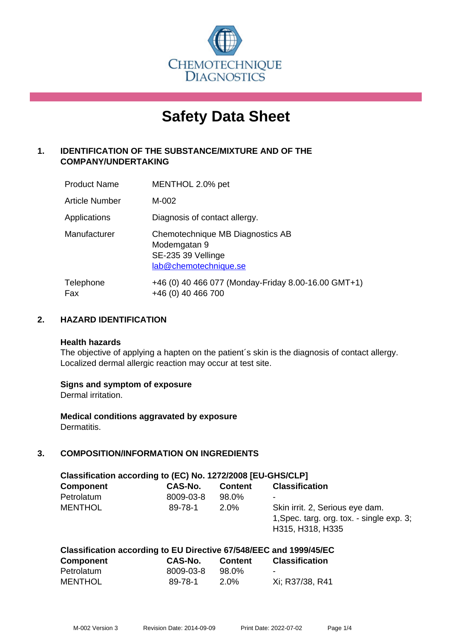

# **Safety Data Sheet**

## **1. IDENTIFICATION OF THE SUBSTANCE/MIXTURE AND OF THE COMPANY/UNDERTAKING**

| <b>Product Name</b>   | MENTHOL 2.0% pet                                                                                |
|-----------------------|-------------------------------------------------------------------------------------------------|
| <b>Article Number</b> | M-002                                                                                           |
| Applications          | Diagnosis of contact allergy.                                                                   |
| Manufacturer          | Chemotechnique MB Diagnostics AB<br>Modemgatan 9<br>SE-235 39 Vellinge<br>lab@chemotechnique.se |
| Telephone<br>Fax      | +46 (0) 40 466 077 (Monday-Friday 8.00-16.00 GMT+1)<br>+46 (0) 40 466 700                       |

## **2. HAZARD IDENTIFICATION**

#### **Health hazards**

The objective of applying a hapten on the patient's skin is the diagnosis of contact allergy. Localized dermal allergic reaction may occur at test site.

#### **Signs and symptom of exposure**

Dermal irritation.

**Medical conditions aggravated by exposure** Dermatitis.

## **3. COMPOSITION/INFORMATION ON INGREDIENTS**

| Classification according to (EC) No. 1272/2008 [EU-GHS/CLP] |           |                |                                                                                                  |  |
|-------------------------------------------------------------|-----------|----------------|--------------------------------------------------------------------------------------------------|--|
| <b>Component</b>                                            | CAS-No.   | <b>Content</b> | <b>Classification</b>                                                                            |  |
| Petrolatum                                                  | 8009-03-8 | 98.0%          | ۰                                                                                                |  |
| <b>MENTHOL</b>                                              | 89-78-1   | $2.0\%$        | Skin irrit. 2, Serious eye dam.<br>1, Spec. targ. org. tox. - single exp. 3;<br>H315, H318, H335 |  |

## **Classification according to EU Directive 67/548/EEC and 1999/45/EC**

| <b>Component</b> | CAS-No.   | <b>Content</b> | <b>Classification</b> |
|------------------|-----------|----------------|-----------------------|
| Petrolatum       | 8009-03-8 | 98.0%          |                       |
| <b>MENTHOL</b>   | 89-78-1   | 2.0%           | Xi; R37/38, R41       |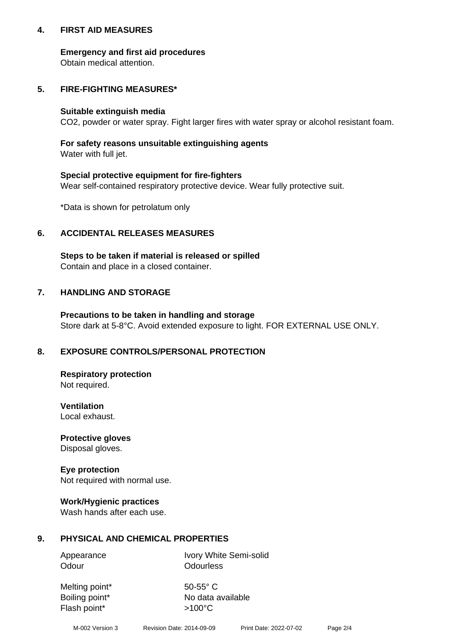#### **4. FIRST AID MEASURES**

#### **Emergency and first aid procedures**

Obtain medical attention.

## **5. FIRE-FIGHTING MEASURES\***

#### **Suitable extinguish media**

CO2, powder or water spray. Fight larger fires with water spray or alcohol resistant foam.

## **For safety reasons unsuitable extinguishing agents**

Water with full jet.

#### **Special protective equipment for fire-fighters**

Wear self-contained respiratory protective device. Wear fully protective suit.

\*Data is shown for petrolatum only

## **6. ACCIDENTAL RELEASES MEASURES**

**Steps to be taken if material is released or spilled** Contain and place in a closed container.

## **7. HANDLING AND STORAGE**

**Precautions to be taken in handling and storage** Store dark at 5-8°C. Avoid extended exposure to light. FOR EXTERNAL USE ONLY.

## **8. EXPOSURE CONTROLS/PERSONAL PROTECTION**

**Respiratory protection** Not required.

**Ventilation** Local exhaust.

**Protective gloves** Disposal gloves.

#### **Eye protection** Not required with normal use.

#### **Work/Hygienic practices**

Wash hands after each use.

#### **9. PHYSICAL AND CHEMICAL PROPERTIES**

Odour **Odourless** 

Appearance Ivory White Semi-solid

Melting point\* 50-55° C Flash point\*  $>100^{\circ}$ C

Boiling point\* No data available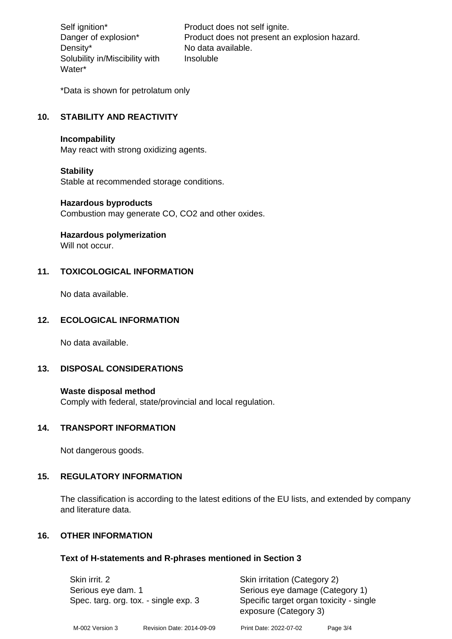Density\* No data available. Solubility in/Miscibility with Water\*

Self ignition\* Product does not self ignite. Danger of explosion\* Product does not present an explosion hazard. Insoluble

\*Data is shown for petrolatum only

## **10. STABILITY AND REACTIVITY**

#### **Incompability**

May react with strong oxidizing agents.

#### **Stability**

Stable at recommended storage conditions.

#### **Hazardous byproducts**

Combustion may generate CO, CO2 and other oxides.

**Hazardous polymerization**

Will not occur.

#### **11. TOXICOLOGICAL INFORMATION**

No data available.

#### **12. ECOLOGICAL INFORMATION**

No data available.

#### **13. DISPOSAL CONSIDERATIONS**

#### **Waste disposal method**

Comply with federal, state/provincial and local regulation.

#### **14. TRANSPORT INFORMATION**

Not dangerous goods.

#### **15. REGULATORY INFORMATION**

The classification is according to the latest editions of the EU lists, and extended by company and literature data.

#### **16. OTHER INFORMATION**

#### **Text of H-statements and R-phrases mentioned in Section 3**

| Skin irrit. 2<br>Serious eye dam. 1<br>Spec. targ. org. tox. - single exp. 3 |  | Skin irritation (Category 2)<br>Serious eye damage (Category 1)<br>Specific target organ toxicity - single<br>exposure (Category 3) |  |
|------------------------------------------------------------------------------|--|-------------------------------------------------------------------------------------------------------------------------------------|--|
|                                                                              |  |                                                                                                                                     |  |